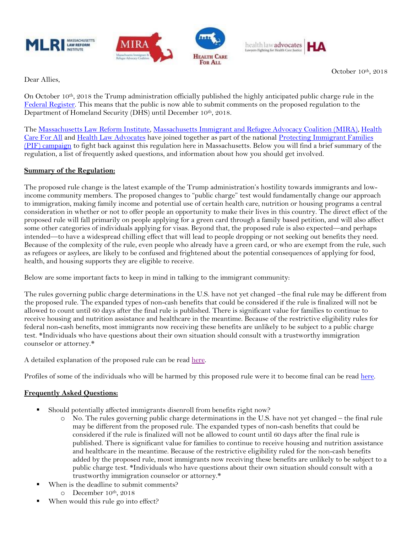







October 10th, 2018

Dear Allies,

On October 10th, 2018 the Trump administration officially published the highly anticipated public charge rule in the [Federal Register.](https://www.federalregister.gov/documents/2018/10/10/2018-21106/inadmissibility-on-public-charge-grounds) This means that the public is now able to submit comments on the proposed regulation to the Department of Homeland Security (DHS) until December 10th, 2018.

The [Massachusetts Law Reform Institute,](http://www.mlri.org/) Massachusetts [Immigrant and Refugee Advocacy Coalition \(MIRA\),](http://www.miracoalition.org/) [Health](http://www.hcfama.org/)  [Care For All](http://www.hcfama.org/) and [Health Law Advocates](http://www.healthlawadvocates.org/) have joined together as part of the national Protecting Immigrant Families [\(PIF\) campaign](https://protectingimmigrantfamilies.org/) to fight back against this regulation here in Massachusetts. Below you will find a brief summary of the regulation, a list of frequently asked questions, and information about how you should get involved.

## **Summary of the Regulation:**

The proposed rule change is the latest example of the Trump administration's hostility towards immigrants and lowincome community members. The proposed changes to "public charge" test would fundamentally change our approach to immigration, making family income and potential use of certain health care, nutrition or housing programs a central consideration in whether or not to offer people an opportunity to make their lives in this country. The direct effect of the proposed rule will fall primarily on people applying for a green card through a family based petition, and will also affect some other categories of individuals applying for visas. Beyond that, the proposed rule is also expected—and perhaps intended—to have a widespread chilling effect that will lead to people dropping or not seeking out benefits they need. Because of the complexity of the rule, even people who already have a green card, or who are exempt from the rule, such as refugees or asylees, are likely to be confused and frightened about the potential consequences of applying for food, health, and housing supports they are eligible to receive.

Below are some important facts to keep in mind in talking to the immigrant community:

The rules governing public charge determinations in the U.S. have not yet changed –the final rule may be different from the proposed rule. The expanded types of non-cash benefits that could be considered if the rule is finalized will not be allowed to count until 60 days after the final rule is published. There is significant value for families to continue to receive housing and nutrition assistance and healthcare in the meantime. Because of the restrictive eligibility rules for federal non-cash benefits, most immigrants now receiving these benefits are unlikely to be subject to a public charge test. \*Individuals who have questions about their own situation should consult with a trustworthy immigration counselor or attorney.\*

A detailed explanation of the proposed rule can be read [here.](https://docs.google.com/document/d/1FMcQYbV4DWPa9bPQn63oQVJkbkRqxe5dRmjjVFi0Ifg/preview)

Profiles of some of the individuals who will be harmed by this proposed rule were it to become final can be read [here.](https://drive.google.com/file/d/1JMZXupLMiyApDY6xiN7y3pZ7ZddXPSMD/view)

## **Frequently Asked Questions:**

- Should potentially affected immigrants disenroll from benefits right now?
	- o No. The rules governing public charge determinations in the U.S. have not yet changed the final rule may be different from the proposed rule. The expanded types of non-cash benefits that could be considered if the rule is finalized will not be allowed to count until 60 days after the final rule is published. There is significant value for families to continue to receive housing and nutrition assistance and healthcare in the meantime. Because of the restrictive eligibility ruled for the non-cash benefits added by the proposed rule, most immigrants now receiving these benefits are unlikely to be subject to a public charge test. \*Individuals who have questions about their own situation should consult with a trustworthy immigration counselor or attorney.\*
- When is the deadline to submit comments?
	- o December 10th, 2018
- When would this rule go into effect?